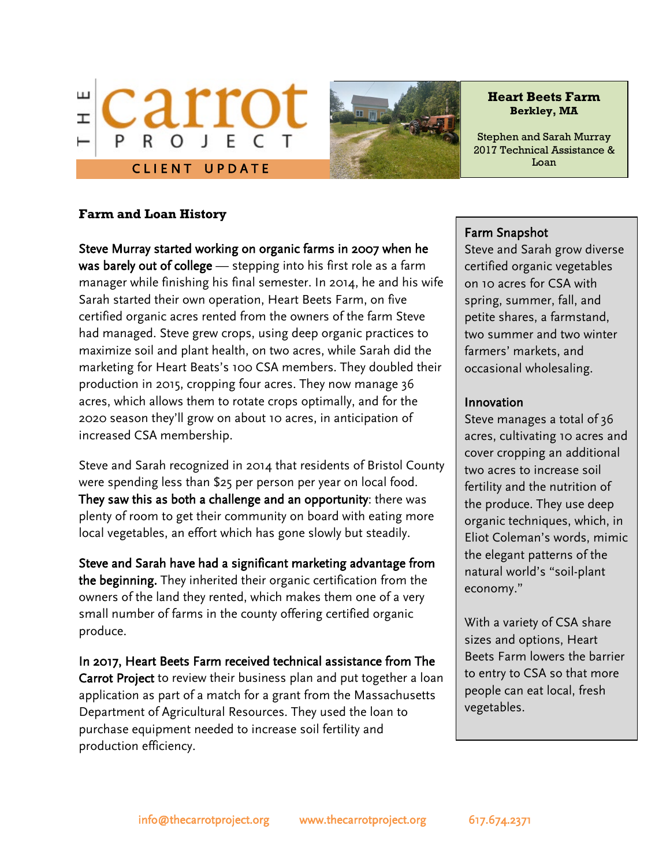



**Heart Beets Farm Berkley, MA**

Stephen and Sarah Murray 2017 Technical Assistance & Loan

# **Farm and Loan History**

Steve Murray started working on organic farms in 2007 when he was barely out of college - stepping into his first role as a farm manager while finishing his final semester. In 2014, he and his wife Sarah started their own operation, Heart Beets Farm, on five certified organic acres rented from the owners of the farm Steve had managed. Steve grew crops, using deep organic practices to maximize soil and plant health, on two acres, while Sarah did the marketing for Heart Beats's 100 CSA members. They doubled their production in 2015, cropping four acres. They now manage 36 acres, which allows them to rotate crops optimally, and for the 2020 season they'll grow on about 10 acres, in anticipation of increased CSA membership.

Steve and Sarah recognized in 2014 that residents of Bristol County were spending less than \$25 per person per year on local food. They saw this as both a challenge and an opportunity: there was plenty of room to get their community on board with eating more local vegetables, an effort which has gone slowly but steadily.

Steve and Sarah have had a significant marketing advantage from the beginning. They inherited their organic certification from the owners of the land they rented, which makes them one of a very small number of farms in the county offering certified organic produce.

In 2017, Heart Beets Farm received technical assistance from The Carrot Project to review their business plan and put together a loan application as part of a match for a grant from the Massachusetts Department of Agricultural Resources. They used the loan to purchase equipment needed to increase soil fertility and production efficiency.

# Farm Snapshot

Steve and Sarah grow diverse certified organic vegetables on 10 acres for CSA with spring, summer, fall, and petite shares, a farmstand, two summer and two winter farmers' markets, and occasional wholesaling.

### Innovation

Steve manages a total of 36 acres, cultivating 10 acres and cover cropping an additional two acres to increase soil fertility and the nutrition of the produce. They use deep organic techniques, which, in Eliot Coleman's words, mimic the elegant patterns of the natural world's "soil-plant economy."

With a variety of CSA share sizes and options, Heart Beets Farm lowers the barrier to entry to CSA so that more people can eat local, fresh vegetables.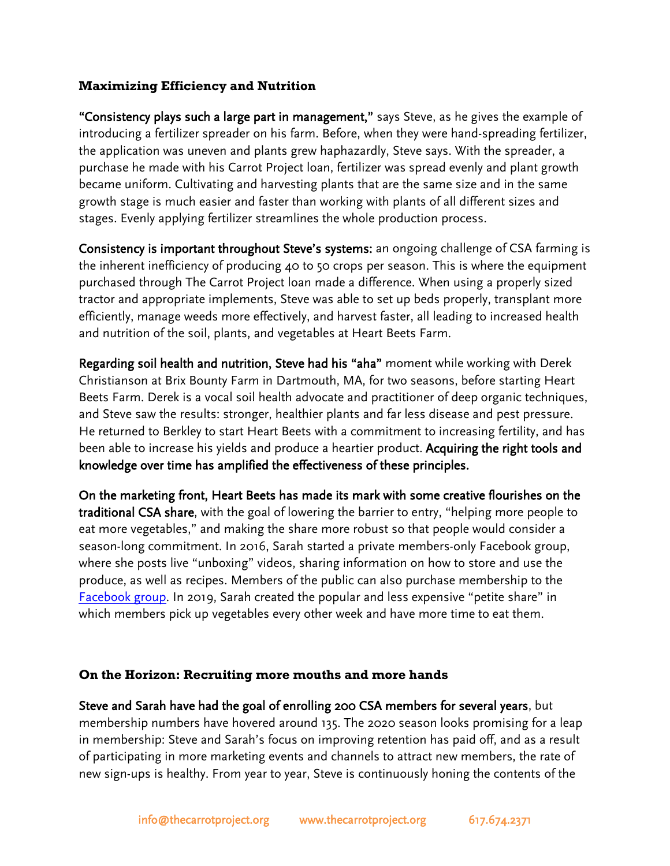# **Maximizing Efficiency and Nutrition**

"Consistency plays such a large part in management," says Steve, as he gives the example of introducing a fertilizer spreader on his farm. Before, when they were hand-spreading fertilizer, the application was uneven and plants grew haphazardly, Steve says. With the spreader, a purchase he made with his Carrot Project loan, fertilizer was spread evenly and plant growth became uniform. Cultivating and harvesting plants that are the same size and in the same growth stage is much easier and faster than working with plants of all different sizes and stages. Evenly applying fertilizer streamlines the whole production process.

Consistency is important throughout Steve's systems: an ongoing challenge of CSA farming is the inherent inefficiency of producing 40 to 50 crops per season. This is where the equipment purchased through The Carrot Project loan made a difference. When using a properly sized tractor and appropriate implements, Steve was able to set up beds properly, transplant more efficiently, manage weeds more effectively, and harvest faster, all leading to increased health and nutrition of the soil, plants, and vegetables at Heart Beets Farm.

Regarding soil health and nutrition, Steve had his "aha" moment while working with Derek Christianson at Brix Bounty Farm in Dartmouth, MA, for two seasons, before starting Heart Beets Farm. Derek is a vocal soil health advocate and practitioner of deep organic techniques, and Steve saw the results: stronger, healthier plants and far less disease and pest pressure. He returned to Berkley to start Heart Beets with a commitment to increasing fertility, and has been able to increase his yields and produce a heartier product. Acquiring the right tools and knowledge over time has amplified the effectiveness of these principles.

On the marketing front, Heart Beets has made its mark with some creative flourishes on the traditional CSA share, with the goal of lowering the barrier to entry, "helping more people to eat more vegetables," and making the share more robust so that people would consider a season-long commitment. In 2016, Sarah started a private members-only Facebook group, where she posts live "unboxing" videos, sharing information on how to store and use the produce, as well as recipes. Members of the public can also purchase membership to the [Facebook group.](https://www.facebook.com/search/top/?q=heart%20beets%20farm%20csa%20members&epa=SEARCH_BOX) In 2019, Sarah created the popular and less expensive "petite share" in which members pick up vegetables every other week and have more time to eat them.

# **On the Horizon: Recruiting more mouths and more hands**

Steve and Sarah have had the goal of enrolling 200 CSA members for several years, but membership numbers have hovered around 135. The 2020 season looks promising for a leap in membership: Steve and Sarah's focus on improving retention has paid off, and as a result of participating in more marketing events and channels to attract new members, the rate of new sign-ups is healthy. From year to year, Steve is continuously honing the contents of the